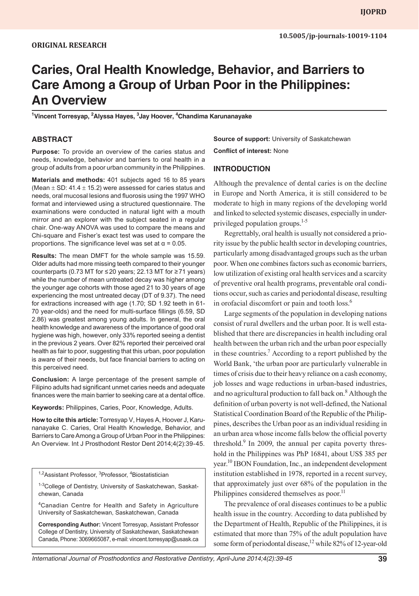# **Caries, Oral Health Knowledge, Behavior, and Barriers to Care Among a Group of Urban Poor in the Philippines: An Overview**

**1 Vincent Torresyap, 2 Alyssa Hayes, 3 Jay Hoover, 4 Chandima Karunanayake**

#### **ABSTRACT**

**Purpose:** To provide an overview of the caries status and needs, knowledge, behavior and barriers to oral health in a group of adults from a poor urban community in the Philippines.

**Materials and methods:** 401 subjects aged 16 to 85 years (Mean  $\pm$  SD: 41.4  $\pm$  15.2) were assessed for caries status and needs, oral mucosal lesions and fluorosis using the 1997 WHO format and interviewed using a structured questionnaire. The examinations were conducted in natural light with a mouth mirror and an explorer with the subject seated in a regular chair. One-way ANOVA was used to compare the means and Chi-square and Fisher's exact test was used to compare the proportions. The significance level was set at  $α = 0.05$ .

**Results:** The mean DMFT for the whole sample was 15.59. Older adults had more missing teeth compared to their younger counterparts (0.73 MT for ≤20 years; 22.13 MT for ≥71 years) while the number of mean untreated decay was higher among the younger age cohorts with those aged 21 to 30 years of age experiencing the most untreated decay (DT of 9.37). The need for extractions increased with age (1.70; SD 1.92 teeth in 61- 70 year-olds) and the need for multi-surface fillings (6.59, SD 2.86) was greatest among young adults. In general, the oral health knowledge and awareness of the importance of good oral hygiene was high, however, only 33% reported seeing a dentist in the previous 2 years. Over 82% reported their perceived oral health as fair to poor, suggesting that this urban, poor population is aware of their needs, but face financial barriers to acting on this perceived need.

**Conclusion:** A large percentage of the present sample of Filipino adults had significant unmet caries needs and adequate finances were the main barrier to seeking care at a dental office.

**Keywords:** Philippines, Caries, Poor, Knowledge, Adults.

**How to cite this article:** Torresyap V, Hayes A, Hoover J, Karunanayake C. Caries, Oral Health Knowledge, Behavior, and Barriers to Care Among a Group of Urban Poor in the Philippines: An Overview. Int J Prosthodont Restor Dent 2014;4(2):39-45.

<sup>1,2</sup>Assistant Professor, <sup>3</sup>Professor, <sup>4</sup>Biostatistician

<sup>1-3</sup>College of Dentistry, University of Saskatchewan, Saskatchewan, Canada

4Canadian Centre for Health and Safety in Agriculture University of Saskatchewan, Saskatchewan, Canada

**Corresponding Author:** Vincent Torresyap, Assistant Professor College of Dentistry, University of Saskatchewan, Saskatchewan Canada, Phone: 3069665087, e-mail: vincent.torresyap@usask.ca **Source of support:** University of Saskatchewan **Conflict of interest:** None

#### **INTRODUCTION**

Although the prevalence of dental caries is on the decline in Europe and North America, it is still considered to be moderate to high in many regions of the developing world and linked to selected systemic diseases, especially in underprivileged population groups.<sup>1-5</sup>

Regrettably, oral health is usually not considered a priority issue by the public health sector in developing countries, particularly among disadvantaged groups such as the urban poor. When one combines factors such as economic barriers, low utilization of existing oral health services and a scarcity of preventive oral health programs, preventable oral conditions occur, such as caries and periodontal disease, resulting in orofacial discomfort or pain and tooth loss.<sup>6</sup>

Large segments of the population in developing nations consist of rural dwellers and the urban poor. It is well established that there are discrepancies in health including oral health between the urban rich and the urban poor especially in these countries.<sup>7</sup> According to a report published by the World Bank, 'the urban poor are particularly vulnerable in times of crisis due to their heavy reliance on a cash economy, job losses and wage reductions in urban-based industries, and no agricultural production to fall back on.<sup>8</sup> Although the definition of urban poverty is not well-defined, the National Statistical Coordination Board of the Republic of the Philippines, describes the Urban poor as an individual residing in an urban area whose income falls below the official poverty threshold.<sup>9</sup> In 2009, the annual per capita poverty threshold in the Philippines was PhP 16841, about US\$ 385 per year.10 IBON Foundation, Inc., an independent development institution established in 1978, reported in a recent survey, that approximately just over 68% of the population in the Philippines considered themselves as poor.<sup>11</sup>

The prevalence of oral diseases continues to be a public health issue in the country. According to data published by the Department of Health, Republic of the Philippines, it is estimated that more than 75% of the adult population have some form of periodontal disease,<sup>12</sup> while 82% of 12-year-old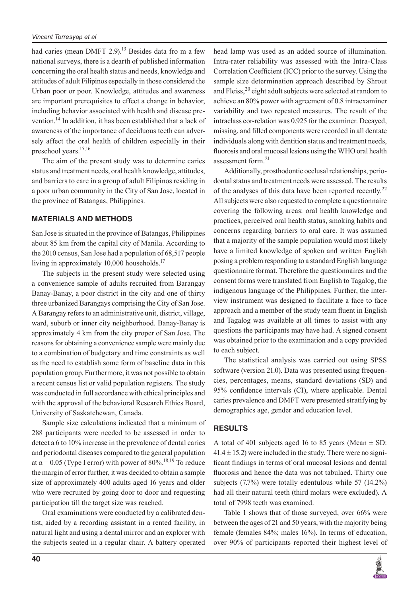had caries (mean DMFT 2.9).<sup>13</sup> Besides data fro m a few national surveys, there is a dearth of published information concerning the oral health status and needs, knowledge and attitudes of adult Filipinos especially in those considered the Urban poor or poor. Knowledge, attitudes and awareness are important prerequisites to effect a change in behavior, including behavior associated with health and disease prevention.<sup>14</sup> In addition, it has been established that a lack of awareness of the importance of deciduous teeth can adversely affect the oral health of children especially in their preschool years.<sup>15,16</sup>

The aim of the present study was to determine caries status and treatment needs, oral health knowledge, attitudes, and barriers to care in a group of adult Filipinos residing in a poor urban community in the City of San Jose, located in the province of Batangas, Philippines.

# **MATERIALS AND METHODS**

San Jose is situated in the province of Batangas, Philippines about 85 km from the capital city of Manila. According to the 2010 census, San Jose had a population of 68,517 people living in approximately  $10,000$  households.<sup>17</sup>

The subjects in the present study were selected using a convenience sample of adults recruited from Barangay Banay-Banay, a poor district in the city and one of thirty three urbanized Barangays comprising the City of San Jose. A Barangay refers to an administrative unit, district, village, ward, suburb or inner city neighborhood. Banay-Banay is approximately 4 km from the city proper of San Jose. The reasons for obtaining a convenience sample were mainly due to a combination of budgetary and time constraints as well as the need to establish some form of baseline data in this population group. Furthermore, it was not possible to obtain a recent census list or valid population registers. The study was conducted in full accordance with ethical principles and with the approval of the behavioral Research Ethics Board, University of Saskatchewan, Canada.

Sample size calculations indicated that a minimum of 288 participants were needed to be assessed in order to detect a 6 to 10% increase in the prevalence of dental caries and periodontal diseases compared to the general population at  $\alpha$  = 0.05 (Type I error) with power of 80%.<sup>18,19</sup> To reduce the margin of error further, it was decided to obtain a sample size of approximately 400 adults aged 16 years and older who were recruited by going door to door and requesting participation till the target size was reached.

Oral examinations were conducted by a calibrated dentist, aided by a recording assistant in a rented facility, in natural light and using a dental mirror and an explorer with the subjects seated in a regular chair. A battery operated head lamp was used as an added source of illumination. Intra-rater reliability was assessed with the Intra-Class Correlation Coefficient (ICC) prior to the survey. Using the sample size determination approach described by Shrout and Fleiss,<sup>20</sup> eight adult subjects were selected at random to achieve an 80% power with agreement of 0.8 intraexaminer variability and two repeated measures. The result of the intraclass cor-relation was 0.925 for the examiner. Decayed, missing, and filled components were recorded in all dentate individuals along with dentition status and treatment needs, fluorosis and oral mucosal lesions using the WHO oral health assessment form.<sup>21</sup>

Additionally, prosthodontic occlusal relationships, periodontal status and treatment needs were assessed. The results of the analyses of this data have been reported recently.<sup>22</sup> All subjects were also requested to complete a questionnaire covering the following areas: oral health knowledge and practices, perceived oral health status, smoking habits and concerns regarding barriers to oral care. It was assumed that a majority of the sample population would most likely have a limited knowledge of spoken and written English posing a problem responding to a standard English language questionnaire format. Therefore the questionnaires and the consent forms were translated from English to Tagalog, the indigenous language of the Philippines. Further, the interview instrument was designed to facilitate a face to face approach and a member of the study team fluent in English and Tagalog was available at all times to assist with any questions the participants may have had. A signed consent was obtained prior to the examination and a copy provided to each subject.

The statistical analysis was carried out using SPSS software (version 21.0). Data was presented using frequencies, percentages, means, standard deviations (SD) and 95% confidence intervals (CI), where applicable. Dental caries prevalence and DMFT were presented stratifying by demographics age, gender and education level.

# **RESULTS**

A total of 401 subjects aged 16 to 85 years (Mean  $\pm$  SD:  $41.4 \pm 15.2$ ) were included in the study. There were no significant findings in terms of oral mucosal lesions and dental fluorosis and hence the data was not tabulaed. Thirty one subjects (7.7%) were totally edentulous while 57 (14.2%) had all their natural teeth (third molars were excluded). A total of 7998 teeth was examined.

Table 1 shows that of those surveyed, over 66% were between the ages of 21 and 50 years, with the majority being female (females 84%; males 16%). In terms of education, over 90% of participants reported their highest level of

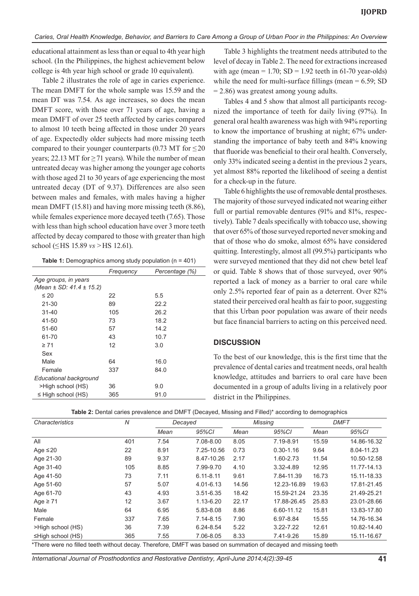educational attainment as less than or equal to 4th year high school. (In the Philippines, the highest achievement below college is 4th year high school or grade 10 equivalent).

Table 2 illustrates the role of age in caries experience. The mean DMFT for the whole sample was 15.59 and the mean DT was 7.54. As age increases, so does the mean DMFT score, with those over 71 years of age, having a mean DMFT of over 25 teeth affected by caries compared to almost 10 teeth being affected in those under 20 years of age. Expectedly older subjects had more missing teeth compared to their younger counterparts (0.73 MT for  $\leq$ 20 years; 22.13 MT for  $\geq$  71 years). While the number of mean untreated decay was higher among the younger age cohorts with those aged 21 to 30 years of age experiencing the most untreated decay (DT of 9.37). Differences are also seen between males and females, with males having a higher mean DMFT (15.81) and having more missing teeth (8.86), while females experience more decayed teeth (7.65). Those with less than high school education have over 3 more teeth affected by decay compared to those with greater than high school (≤HS 15.89 *vs* >HS 12.61).

| Table 1: Demographics among study population ( $n = 401$ ) |  |  |  |
|------------------------------------------------------------|--|--|--|
|------------------------------------------------------------|--|--|--|

|                                  | Frequency | Percentage (%) |
|----------------------------------|-----------|----------------|
| Age groups, in years             |           |                |
| (Mean $\pm$ SD: 41.4 $\pm$ 15.2) |           |                |
| $\leq 20$                        | 22        | 5.5            |
| 21-30                            | 89        | 22.2           |
| $31 - 40$                        | 105       | 26.2           |
| 41-50                            | 73        | 18.2           |
| 51-60                            | 57        | 14.2           |
| 61-70                            | 43        | 10.7           |
| $\geq 71$                        | 12        | 3.0            |
| Sex                              |           |                |
| Male                             | 64        | 16.0           |
| Female                           | 337       | 84.0           |
| Educational background           |           |                |
| >High school (HS)                | 36        | 9.0            |
| $\leq$ High school (HS)          | 365       | 91.0           |

Table 3 highlights the treatment needs attributed to the level of decay in Table 2. The need for extractions increased with age (mean  $= 1.70$ ; SD  $= 1.92$  teeth in 61-70 year-olds) while the need for multi-surface fillings (mean  $= 6.59$ ; SD = 2.86) was greatest among young adults.

Tables 4 and 5 show that almost all participants recognized the importance of teeth for daily living (97%). In general oral health awareness was high with 94% reporting to know the importance of brushing at night; 67% understanding the importance of baby teeth and 84% knowing that fluoride was beneficial to their oral health. Conversely, only 33% indicated seeing a dentist in the previous 2 years, yet almost 88% reported the likelihood of seeing a dentist for a check-up in the future.

Table 6 highlights the use of removable dental prostheses. The majority of those surveyed indicated not wearing either full or partial removable dentures (91% and 81%, respectively). Table 7 deals specifically with tobacco use, showing that over 65% of those surveyed reported never smoking and that of those who do smoke, almost 65% have considered quitting. Interestingly, almost all (99.5%) participants who were surveyed mentioned that they did not chew betel leaf or quid. Table 8 shows that of those surveyed, over 90% reported a lack of money as a barrier to oral care while only 2.5% reported fear of pain as a deterrent. Over 82% stated their perceived oral health as fair to poor, suggesting that this Urban poor population was aware of their needs but face financial barriers to acting on this perceived need.

#### **DISCUSSION**

To the best of our knowledge, this is the first time that the prevalence of dental caries and treatment needs, oral health knowledge, attitudes and barriers to oral care have been documented in a group of adults living in a relatively poor district in the Philippines.

| <b>Table 2:</b> Dental caries prevalence and DMFT (Decayed, Missing and Filled)* according to demographics |
|------------------------------------------------------------------------------------------------------------|
|------------------------------------------------------------------------------------------------------------|

| Characteristics         | N   |      | Decayed       |       | Missing       |       | <b>DMFT</b> |  |
|-------------------------|-----|------|---------------|-------|---------------|-------|-------------|--|
|                         |     | Mean | 95%CI         | Mean  | 95%CI         | Mean  | 95%CI       |  |
| All                     | 401 | 7.54 | 7.08-8.00     | 8.05  | 7.19-8.91     | 15.59 | 14.86-16.32 |  |
| Age $\leq$ 20           | 22  | 8.91 | 7.25-10.56    | 0.73  | $0.30 - 1.16$ | 9.64  | 8.04-11.23  |  |
| Age 21-30               | 89  | 9.37 | 8.47-10.26    | 2.17  | 1.60-2.73     | 11.54 | 10.50-12.58 |  |
| Age 31-40               | 105 | 8.85 | 7.99-9.70     | 4.10  | 3.32-4.89     | 12.95 | 11.77-14.13 |  |
| Age 41-50               | 73  | 7.11 | $6.11 - 8.11$ | 9.61  | 7.84-11.39    | 16.73 | 15.11-18.33 |  |
| Age 51-60               | 57  | 5.07 | 4.01-6.13     | 14.56 | 12.23-16.89   | 19.63 | 17.81-21.45 |  |
| Age 61-70               | 43  | 4.93 | $3.51 - 6.35$ | 18.42 | 15.59-21.24   | 23.35 | 21.49-25.21 |  |
| Age $\geq 71$           | 12  | 3.67 | 1.13-6.20     | 22.17 | 17.88-26.45   | 25.83 | 23.01-28.66 |  |
| Male                    | 64  | 6.95 | 5.83-8.08     | 8.86  | 6.60-11.12    | 15.81 | 13.83-17.80 |  |
| Female                  | 337 | 7.65 | $7.14 - 8.15$ | 7.90  | 6.97-8.84     | 15.55 | 14.76-16.34 |  |
| >High school (HS)       | 36  | 7.39 | 6.24-8.54     | 5.22  | $3.22 - 7.22$ | 12.61 | 10.82-14.40 |  |
| $\leq$ High school (HS) | 365 | 7.55 | 7.06-8.05     | 8.33  | 7.41-9.26     | 15.89 | 15.11-16.67 |  |

There were no filled teeth without decay. Therefore, DMFT was based on summation of decayed and missing teeth

*International Journal of Prosthodontics and Restorative Dentistry, April-June 2014;4(2):39-45* **41**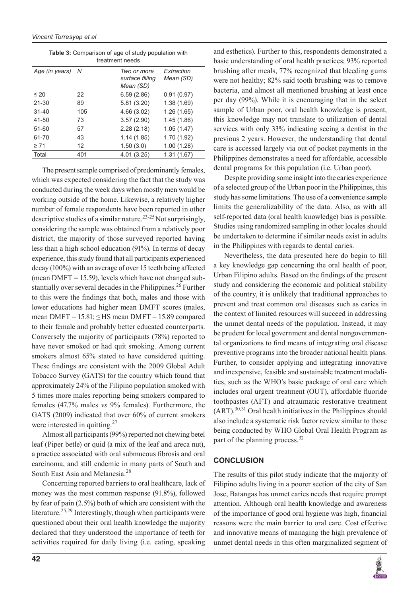|                |     | ucaulchi liccus                             |                         |
|----------------|-----|---------------------------------------------|-------------------------|
| Age (in years) | - N | Two or more<br>surface filling<br>Mean (SD) | Extraction<br>Mean (SD) |
| $\leq 20$      | 22  | 6.59(2.86)                                  | 0.91(0.97)              |
| $21 - 30$      | 89  | 5.81 (3.20)                                 | 1.38(1.69)              |
| $31 - 40$      | 105 | 4.66(3.02)                                  | 1.26(1.65)              |
| 41-50          | 73  | 3.57(2.90)                                  | 1.45(1.86)              |
| 51-60          | 57  | 2.28(2.18)                                  | 1.05(1.47)              |
| 61-70          | 43  | 1.14(1.85)                                  | 1.70(1.92)              |
| $\geq 71$      | 12  | 1.50(3.0)                                   | 1.00(1.28)              |
| Total          | 401 | 4.01(3.25)                                  | 1.31(1.67)              |

**Table 3:** Comparison of age of study population with treatment needs

The present sample comprised of predominantly females, which was expected considering the fact that the study was conducted during the week days when mostly men would be working outside of the home. Likewise, a relatively higher number of female respondents have been reported in other descriptive studies of a similar nature.<sup>23-25</sup> Not surprisingly, considering the sample was obtained from a relatively poor district, the majority of those surveyed reported having less than a high school education (91%). In terms of decay experience, this study found that all participants experienced decay (100%) with an average of over 15 teeth being affected (mean DMFT = 15.59), levels which have not changed substantially over several decades in the Philippines.<sup>26</sup> Further to this were the findings that both, males and those with lower educations had higher mean DMFT scores (males, mean DMFT =  $15.81$ ;  $\leq$  HS mean DMFT = 15.89 compared to their female and probably better educated counterparts. Conversely the majority of participants (78%) reported to have never smoked or had quit smoking. Among current smokers almost 65% stated to have considered quitting. These findings are consistent with the 2009 Global Adult Tobacco Survey (GATS) for the country which found that approximately 24% of the Filipino population smoked with 5 times more males reporting being smokers compared to females (47.7% males *vs* 9% females). Furthermore, the GATS (2009) indicated that over 60% of current smokers were interested in quitting.<sup>27</sup>

Almost all participants (99%) reported not chewing betel leaf (Piper betle) or quid (a mix of the leaf and areca nut), a practice associated with oral submucous fibrosis and oral carcinoma, and still endemic in many parts of South and South East Asia and Melanesia.<sup>28</sup>

Concerning reported barriers to oral healthcare, lack of money was the most common response (91.8%), followed by fear of pain (2.5%) both of which are consistent with the literature.<sup>25,29</sup> Interestingly, though when participants were questioned about their oral health knowledge the majority declared that they understood the importance of teeth for activities required for daily living (i.e. eating, speaking

and esthetics). Further to this, respondents demonstrated a basic understanding of oral health practices; 93% reported brushing after meals, 77% recognized that bleeding gums were not healthy; 82% said tooth brushing was to remove bacteria, and almost all mentioned brushing at least once per day (99%). While it is encouraging that in the select sample of Urban poor, oral health knowledge is present, this knowledge may not translate to utilization of dental services with only 33% indicating seeing a dentist in the previous 2 years. However, the understanding that dental care is accessed largely via out of pocket payments in the Philippines demonstrates a need for affordable, accessible dental programs for this population (i.e. Urban poor).

Despite providing some insight into the caries experience of a selected group of the Urban poor in the Philippines, this study has some limitations. The use of a convenience sample limits the generalizability of the data. Also, as with all self-reported data (oral health knowledge) bias is possible. Studies using randomized sampling in other locales should be undertaken to determine if similar needs exist in adults in the Philippines with regards to dental caries.

Nevertheless, the data presented here do begin to fill a key knowledge gap concerning the oral health of poor, Urban Filipino adults. Based on the findings of the present study and considering the economic and political stability of the country, it is unlikely that traditional approaches to prevent and treat common oral diseases such as caries in the context of limited resources will succeed in addressing the unmet dental needs of the population. Instead, it may be prudent for local government and dental nongovernmental organizations to find means of integrating oral disease preventive programs into the broader national health plans. Further, to consider applying and integrating innovative and inexpensive, feasible and sustainable treatment modalities, such as the WHO's basic package of oral care which includes oral urgent treatment (OUT), affordable fluoride toothpastes (AFT) and atraumatic restorative treatment  $(ART)$ .<sup>30,31</sup> Oral health initiatives in the Philippines should also include a systematic risk factor review similar to those being conducted by WHO Global Oral Health Program as part of the planning process.<sup>32</sup>

# **CONCLUSION**

The results of this pilot study indicate that the majority of Filipino adults living in a poorer section of the city of San Jose, Batangas has unmet caries needs that require prompt attention. Although oral health knowledge and awareness of the importance of good oral hygiene was high, financial reasons were the main barrier to oral care. Cost effective and innovative means of managing the high prevalence of unmet dental needs in this often marginalized segment of

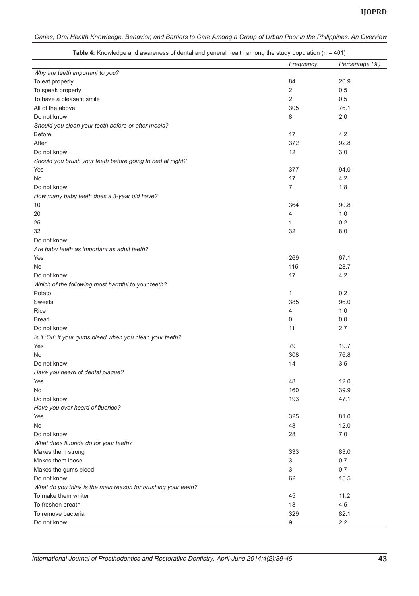|                                                               | Frequency      | Percentage (%) |
|---------------------------------------------------------------|----------------|----------------|
| Why are teeth important to you?                               |                |                |
| To eat properly                                               | 84             | 20.9           |
| To speak properly                                             | $\overline{2}$ | 0.5            |
| To have a pleasant smile                                      | $\overline{c}$ | 0.5            |
| All of the above                                              | 305            | 76.1           |
| Do not know                                                   | 8              | 2.0            |
| Should you clean your teeth before or after meals?            |                |                |
| <b>Before</b>                                                 | 17             | 4.2            |
| After                                                         | 372            | 92.8           |
| Do not know                                                   | 12             | 3.0            |
| Should you brush your teeth before going to bed at night?     |                |                |
| Yes                                                           | 377            | 94.0           |
| No                                                            | 17             | 4.2            |
| Do not know                                                   | 7              | 1.8            |
| How many baby teeth does a 3-year old have?                   |                |                |
| 10                                                            | 364            | 90.8           |
| 20                                                            | 4              | $1.0$          |
| 25                                                            | 1              | 0.2            |
| 32                                                            | 32             | 8.0            |
| Do not know                                                   |                |                |
| Are baby teeth as important as adult teeth?                   |                |                |
| Yes                                                           | 269            | 67.1           |
| No                                                            | 115            | 28.7           |
| Do not know                                                   | 17             | 4.2            |
| Which of the following most harmful to your teeth?            |                |                |
|                                                               |                |                |
| Potato                                                        | 1              | 0.2            |
| <b>Sweets</b>                                                 | 385            | 96.0           |
| Rice                                                          | 4              | 1.0            |
| <b>Bread</b>                                                  | 0              | 0.0            |
| Do not know                                                   | 11             | 2.7            |
| Is it 'OK' if your gums bleed when you clean your teeth?      |                |                |
| Yes                                                           | 79             | 19.7           |
| No                                                            | 308            | 76.8           |
| Do not know                                                   | 14             | 3.5            |
| Have you heard of dental plaque?                              |                |                |
| Yes                                                           | 48             | 12.0           |
| No                                                            | 160            | 39.9           |
| Do not know                                                   | 193            | 47.1           |
| Have you ever heard of fluoride?                              |                |                |
| Yes                                                           | 325            | 81.0           |
| No                                                            | 48             | 12.0           |
| Do not know                                                   | 28             | 7.0            |
| What does fluoride do for your teeth?                         |                |                |
| Makes them strong                                             | 333            | 83.0           |
| Makes them loose                                              | 3              | 0.7            |
| Makes the gums bleed                                          | 3              | 0.7            |
| Do not know                                                   | 62             | 15.5           |
| What do you think is the main reason for brushing your teeth? |                |                |
| To make them whiter                                           | 45             | 11.2           |
| To freshen breath                                             | 18             | 4.5            |
| To remove bacteria                                            | 329            | 82.1           |
| Do not know                                                   | 9              | 2.2            |
|                                                               |                |                |

**Table 4:** Knowledge and awareness of dental and general health among the study population (n = 401)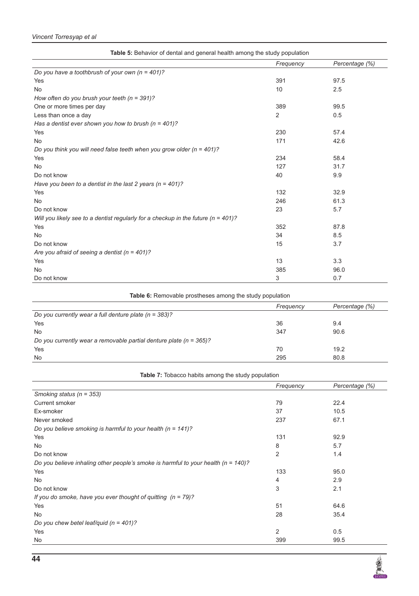# *Vincent Torresyap et al*

| Table 5: Behavior of dental and general health among the study population             |                |                |
|---------------------------------------------------------------------------------------|----------------|----------------|
|                                                                                       | Frequency      | Percentage (%) |
| Do you have a toothbrush of your own $(n = 401)$ ?                                    |                |                |
| Yes                                                                                   | 391            | 97.5           |
| <b>No</b>                                                                             | 10             | 2.5            |
| How often do you brush your teeth ( $n = 391$ )?                                      |                |                |
| One or more times per day                                                             | 389            | 99.5           |
| Less than once a day                                                                  | $\overline{2}$ | 0.5            |
| Has a dentist ever shown you how to brush ( $n = 401$ )?                              |                |                |
| Yes                                                                                   | 230            | 57.4           |
| <b>No</b>                                                                             | 171            | 42.6           |
| Do you think you will need false teeth when you grow older ( $n = 401$ )?             |                |                |
| Yes                                                                                   | 234            | 58.4           |
| <b>No</b>                                                                             | 127            | 31.7           |
| Do not know                                                                           | 40             | 9.9            |
| Have you been to a dentist in the last 2 years ( $n = 401$ )?                         |                |                |
| Yes                                                                                   | 132            | 32.9           |
| <b>No</b>                                                                             | 246            | 61.3           |
| Do not know                                                                           | 23             | 5.7            |
| Will you likely see to a dentist regularly for a checkup in the future ( $n = 401$ )? |                |                |
| Yes                                                                                   | 352            | 87.8           |
| <b>No</b>                                                                             | 34             | 8.5            |
| Do not know                                                                           | 15             | 3.7            |
| Are you afraid of seeing a dentist ( $n = 401$ )?                                     |                |                |
| Yes                                                                                   | 13             | 3.3            |
| <b>No</b>                                                                             | 385            | 96.0           |
| Do not know                                                                           | 3              | 0.7            |

Table 6: Removable prostheses among the study population

|                                                                        | Frequency | Percentage (%) |
|------------------------------------------------------------------------|-----------|----------------|
| Do you currently wear a full denture plate ( $n = 383$ )?              |           |                |
| Yes                                                                    | 36        | 9.4            |
| No                                                                     | 347       | 90.6           |
| Do you currently wear a removable partial denture plate ( $n = 365$ )? |           |                |
| Yes                                                                    | 70        | 19.2           |
| No                                                                     | 295       | 80.8           |

| <b>Table 7:</b> Tobacco habits among the study population                             |           |                |
|---------------------------------------------------------------------------------------|-----------|----------------|
|                                                                                       | Frequency | Percentage (%) |
| Smoking status ( $n = 353$ )                                                          |           |                |
| Current smoker                                                                        | 79        | 22.4           |
| Ex-smoker                                                                             | 37        | 10.5           |
| Never smoked                                                                          | 237       | 67.1           |
| Do you believe smoking is harmful to your health ( $n = 141$ )?                       |           |                |
| Yes                                                                                   | 131       | 92.9           |
| No                                                                                    | 8         | 5.7            |
| Do not know                                                                           | 2         | 1.4            |
| Do you believe inhaling other people's smoke is harmful to your health ( $n = 140$ )? |           |                |
| Yes                                                                                   | 133       | 95.0           |
| No                                                                                    | 4         | 2.9            |
| Do not know                                                                           | 3         | 2.1            |
| If you do smoke, have you ever thought of quitting $(n = 79)$ ?                       |           |                |
| Yes                                                                                   | 51        | 64.6           |
| No.                                                                                   | 28        | 35.4           |
| Do you chew betel leaf/quid $(n = 401)$ ?                                             |           |                |
| Yes                                                                                   | 2         | 0.5            |
| No                                                                                    | 399       | 99.5           |